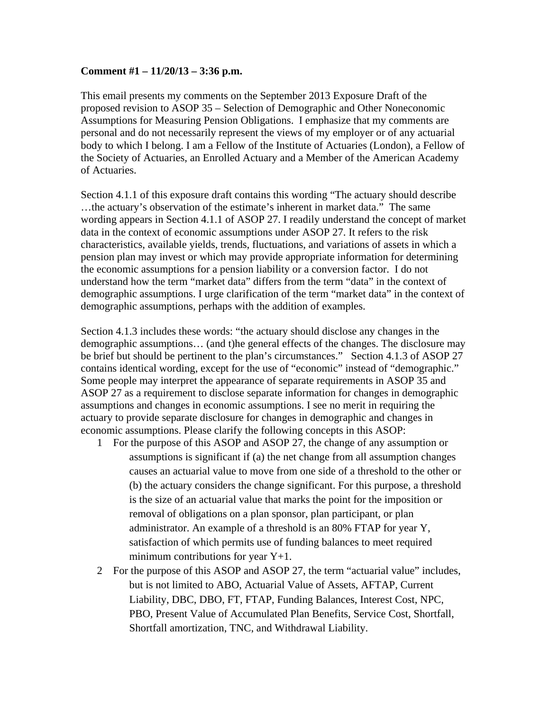## **Comment #1 – 11/20/13 – 3:36 p.m.**

This email presents my comments on the September 2013 Exposure Draft of the proposed revision to ASOP 35 – Selection of Demographic and Other Noneconomic Assumptions for Measuring Pension Obligations. I emphasize that my comments are personal and do not necessarily represent the views of my employer or of any actuarial body to which I belong. I am a Fellow of the Institute of Actuaries (London), a Fellow of the Society of Actuaries, an Enrolled Actuary and a Member of the American Academy of Actuaries.

Section 4.1.1 of this exposure draft contains this wording "The actuary should describe …the actuary's observation of the estimate's inherent in market data." The same wording appears in Section 4.1.1 of ASOP 27. I readily understand the concept of market data in the context of economic assumptions under ASOP 27. It refers to the risk characteristics, available yields, trends, fluctuations, and variations of assets in which a pension plan may invest or which may provide appropriate information for determining the economic assumptions for a pension liability or a conversion factor. I do not understand how the term "market data" differs from the term "data" in the context of demographic assumptions. I urge clarification of the term "market data" in the context of demographic assumptions, perhaps with the addition of examples.

Section 4.1.3 includes these words: "the actuary should disclose any changes in the demographic assumptions… (and t)he general effects of the changes. The disclosure may be brief but should be pertinent to the plan's circumstances." Section 4.1.3 of ASOP 27 contains identical wording, except for the use of "economic" instead of "demographic." Some people may interpret the appearance of separate requirements in ASOP 35 and ASOP 27 as a requirement to disclose separate information for changes in demographic assumptions and changes in economic assumptions. I see no merit in requiring the actuary to provide separate disclosure for changes in demographic and changes in economic assumptions. Please clarify the following concepts in this ASOP:

- 1 For the purpose of this ASOP and ASOP 27, the change of any assumption or assumptions is significant if (a) the net change from all assumption changes causes an actuarial value to move from one side of a threshold to the other or (b) the actuary considers the change significant. For this purpose, a threshold is the size of an actuarial value that marks the point for the imposition or removal of obligations on a plan sponsor, plan participant, or plan administrator. An example of a threshold is an 80% FTAP for year Y, satisfaction of which permits use of funding balances to meet required minimum contributions for year  $Y+1$ .
- 2 For the purpose of this ASOP and ASOP 27, the term "actuarial value" includes, but is not limited to ABO, Actuarial Value of Assets, AFTAP, Current Liability, DBC, DBO, FT, FTAP, Funding Balances, Interest Cost, NPC, PBO, Present Value of Accumulated Plan Benefits, Service Cost, Shortfall, Shortfall amortization, TNC, and Withdrawal Liability.